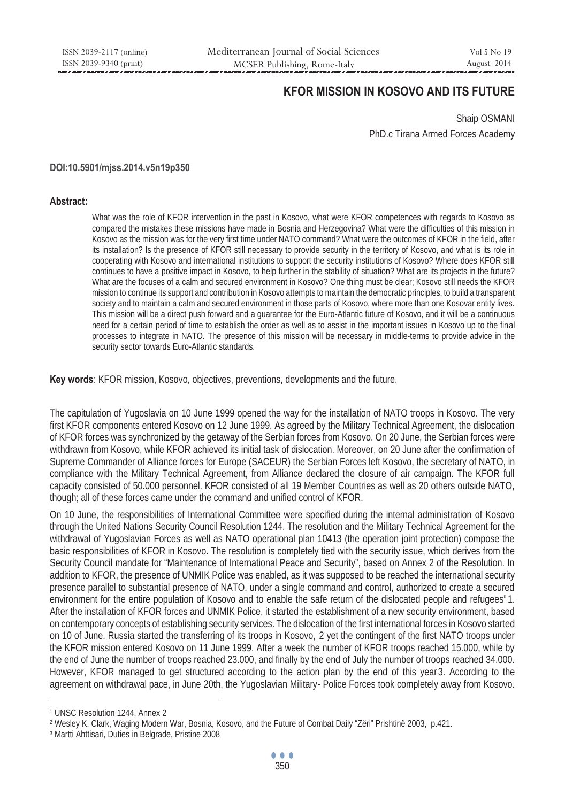# **KFOR MISSION IN KOSOVO AND ITS FUTURE**

Shaip OSMANI PhD.c Tirana Armed Forces Academy

#### **DOI:10.5901/mjss.2014.v5n19p350**

#### **Abstract:**

What was the role of KFOR intervention in the past in Kosovo, what were KFOR competences with regards to Kosovo as compared the mistakes these missions have made in Bosnia and Herzegovina? What were the difficulties of this mission in Kosovo as the mission was for the very first time under NATO command? What were the outcomes of KFOR in the field, after its installation? Is the presence of KFOR still necessary to provide security in the territory of Kosovo, and what is its role in cooperating with Kosovo and international institutions to support the security institutions of Kosovo? Where does KFOR still continues to have a positive impact in Kosovo, to help further in the stability of situation? What are its projects in the future? What are the focuses of a calm and secured environment in Kosovo? One thing must be clear; Kosovo still needs the KFOR mission to continue its support and contribution in Kosovo attempts to maintain the democratic principles, to build a transparent society and to maintain a calm and secured environment in those parts of Kosovo, where more than one Kosovar entity lives. This mission will be a direct push forward and a guarantee for the Euro-Atlantic future of Kosovo, and it will be a continuous need for a certain period of time to establish the order as well as to assist in the important issues in Kosovo up to the final processes to integrate in NATO. The presence of this mission will be necessary in middle-terms to provide advice in the security sector towards Euro-Atlantic standards.

**Key words**: KFOR mission, Kosovo, objectives, preventions, developments and the future.

The capitulation of Yugoslavia on 10 June 1999 opened the way for the installation of NATO troops in Kosovo. The very first KFOR components entered Kosovo on 12 June 1999. As agreed by the Military Technical Agreement, the dislocation of KFOR forces was synchronized by the getaway of the Serbian forces from Kosovo. On 20 June, the Serbian forces were withdrawn from Kosovo, while KFOR achieved its initial task of dislocation. Moreover, on 20 June after the confirmation of Supreme Commander of Alliance forces for Europe (SACEUR) the Serbian Forces left Kosovo, the secretary of NATO, in compliance with the Military Technical Agreement, from Alliance declared the closure of air campaign. The KFOR full capacity consisted of 50.000 personnel. KFOR consisted of all 19 Member Countries as well as 20 others outside NATO, though; all of these forces came under the command and unified control of KFOR.

On 10 June, the responsibilities of International Committee were specified during the internal administration of Kosovo through the United Nations Security Council Resolution 1244. The resolution and the Military Technical Agreement for the withdrawal of Yugoslavian Forces as well as NATO operational plan 10413 (the operation joint protection) compose the basic responsibilities of KFOR in Kosovo. The resolution is completely tied with the security issue, which derives from the Security Council mandate for "Maintenance of International Peace and Security", based on Annex 2 of the Resolution. In addition to KFOR, the presence of UNMIK Police was enabled, as it was supposed to be reached the international security presence parallel to substantial presence of NATO, under a single command and control, authorized to create a secured environment for the entire population of Kosovo and to enable the safe return of the dislocated people and refugees"1. After the installation of KFOR forces and UNMIK Police, it started the establishment of a new security environment, based on contemporary concepts of establishing security services. The dislocation of the first international forces in Kosovo started on 10 of June. Russia started the transferring of its troops in Kosovo, 2 yet the contingent of the first NATO troops under the KFOR mission entered Kosovo on 11 June 1999. After a week the number of KFOR troops reached 15.000, while by the end of June the number of troops reached 23.000, and finally by the end of July the number of troops reached 34.000. However, KFOR managed to get structured according to the action plan by the end of this year3. According to the agreement on withdrawal pace, in June 20th, the Yugoslavian Military- Police Forces took completely away from Kosovo.

 $\overline{a}$ 

<sup>1</sup> UNSC Resolution 1244, Annex 2

<sup>&</sup>lt;sup>2</sup> Wesley K. Clark, Waging Modern War, Bosnia, Kosovo, and the Future of Combat Daily "Zëri" Prishtinë 2003, p.421.<br><sup>3</sup> Martti Ahttisari, Duties in Belgrade, Pristine 2008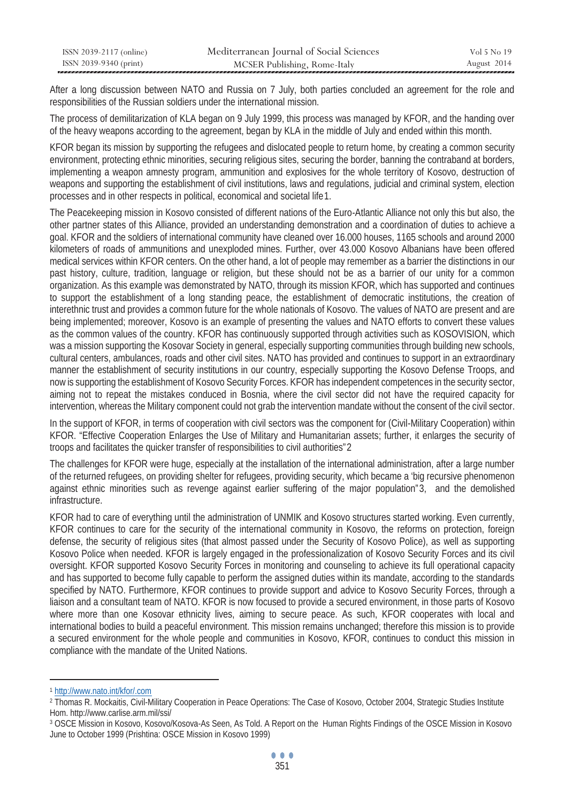| ISSN 2039-2117 (online) | Mediterranean Journal of Social Sciences | Vol 5 No 19 |
|-------------------------|------------------------------------------|-------------|
| ISSN 2039-9340 (print)  | MCSER Publishing, Rome-Italy             | August 2014 |

After a long discussion between NATO and Russia on 7 July, both parties concluded an agreement for the role and responsibilities of the Russian soldiers under the international mission.

The process of demilitarization of KLA began on 9 July 1999, this process was managed by KFOR, and the handing over of the heavy weapons according to the agreement, began by KLA in the middle of July and ended within this month.

KFOR began its mission by supporting the refugees and dislocated people to return home, by creating a common security environment, protecting ethnic minorities, securing religious sites, securing the border, banning the contraband at borders, implementing a weapon amnesty program, ammunition and explosives for the whole territory of Kosovo, destruction of weapons and supporting the establishment of civil institutions, laws and regulations, judicial and criminal system, election processes and in other respects in political, economical and societal life 1.

The Peacekeeping mission in Kosovo consisted of different nations of the Euro-Atlantic Alliance not only this but also, the other partner states of this Alliance, provided an understanding demonstration and a coordination of duties to achieve a goal. KFOR and the soldiers of international community have cleaned over 16.000 houses, 1165 schools and around 2000 kilometers of roads of ammunitions and unexploded mines. Further, over 43.000 Kosovo Albanians have been offered medical services within KFOR centers. On the other hand, a lot of people may remember as a barrier the distinctions in our past history, culture, tradition, language or religion, but these should not be as a barrier of our unity for a common organization. As this example was demonstrated by NATO, through its mission KFOR, which has supported and continues to support the establishment of a long standing peace, the establishment of democratic institutions, the creation of interethnic trust and provides a common future for the whole nationals of Kosovo. The values of NATO are present and are being implemented; moreover, Kosovo is an example of presenting the values and NATO efforts to convert these values as the common values of the country. KFOR has continuously supported through activities such as KOSOVISION, which was a mission supporting the Kosovar Society in general, especially supporting communities through building new schools, cultural centers, ambulances, roads and other civil sites. NATO has provided and continues to support in an extraordinary manner the establishment of security institutions in our country, especially supporting the Kosovo Defense Troops, and now is supporting the establishment of Kosovo Security Forces. KFOR has independent competences in the security sector, aiming not to repeat the mistakes conduced in Bosnia, where the civil sector did not have the required capacity for intervention, whereas the Military component could not grab the intervention mandate without the consent of the civil sector.

In the support of KFOR, in terms of cooperation with civil sectors was the component for (Civil-Military Cooperation) within KFOR. "Effective Cooperation Enlarges the Use of Military and Humanitarian assets; further, it enlarges the security of troops and facilitates the quicker transfer of responsibilities to civil authorities"2

The challenges for KFOR were huge, especially at the installation of the international administration, after a large number of the returned refugees, on providing shelter for refugees, providing security, which became a 'big recursive phenomenon against ethnic minorities such as revenge against earlier suffering of the major population"3, and the demolished infrastructure.

KFOR had to care of everything until the administration of UNMIK and Kosovo structures started working. Even currently, KFOR continues to care for the security of the international community in Kosovo, the reforms on protection, foreign defense, the security of religious sites (that almost passed under the Security of Kosovo Police), as well as supporting Kosovo Police when needed. KFOR is largely engaged in the professionalization of Kosovo Security Forces and its civil oversight. KFOR supported Kosovo Security Forces in monitoring and counseling to achieve its full operational capacity and has supported to become fully capable to perform the assigned duties within its mandate, according to the standards specified by NATO. Furthermore, KFOR continues to provide support and advice to Kosovo Security Forces, through a liaison and a consultant team of NATO. KFOR is now focused to provide a secured environment, in those parts of Kosovo where more than one Kosovar ethnicity lives, aiming to secure peace. As such, KFOR cooperates with local and international bodies to build a peaceful environment. This mission remains unchanged; therefore this mission is to provide a secured environment for the whole people and communities in Kosovo, KFOR, continues to conduct this mission in compliance with the mandate of the United Nations.

 $\overline{a}$ 

<sup>1</sup> http://www.nato.int/kfor/.com

<sup>2</sup> Thomas R. Mockaitis, Civil-Military Cooperation in Peace Operations: The Case of Kosovo, October 2004, Strategic Studies Institute Hom. http://www.carlise.arm.mil/ssi/

<sup>3</sup> OSCE Mission in Kosovo, Kosovo/Kosova-As Seen, As Told. A Report on the Human Rights Findings of the OSCE Mission in Kosovo June to October 1999 (Prishtina: OSCE Mission in Kosovo 1999)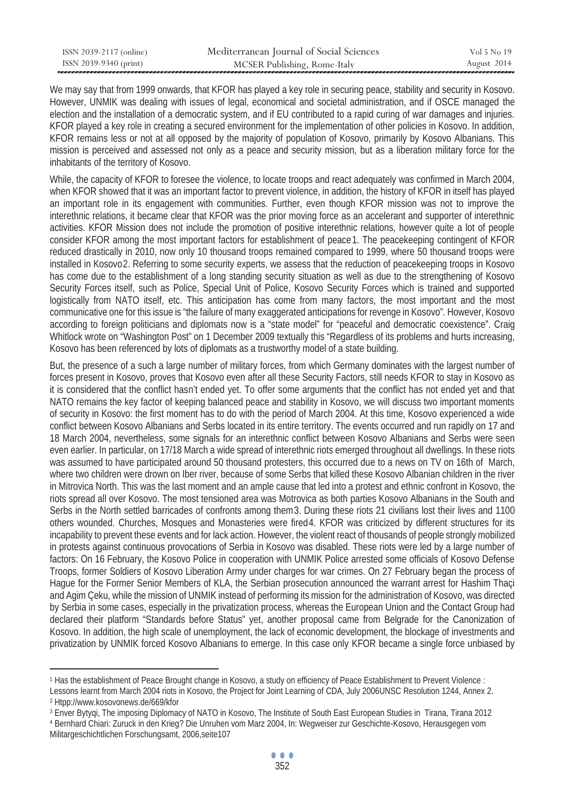| ISSN 2039-2117 (online) | Mediterranean Journal of Social Sciences | Vol 5 No 19 |
|-------------------------|------------------------------------------|-------------|
| ISSN 2039-9340 (print)  | MCSER Publishing, Rome-Italy             | August 2014 |

We may say that from 1999 onwards, that KFOR has played a key role in securing peace, stability and security in Kosovo. However, UNMIK was dealing with issues of legal, economical and societal administration, and if OSCE managed the election and the installation of a democratic system, and if EU contributed to a rapid curing of war damages and injuries. KFOR played a key role in creating a secured environment for the implementation of other policies in Kosovo. In addition, KFOR remains less or not at all opposed by the majority of population of Kosovo, primarily by Kosovo Albanians. This mission is perceived and assessed not only as a peace and security mission, but as a liberation military force for the inhabitants of the territory of Kosovo.

While, the capacity of KFOR to foresee the violence, to locate troops and react adequately was confirmed in March 2004. when KFOR showed that it was an important factor to prevent violence, in addition, the history of KFOR in itself has played an important role in its engagement with communities. Further, even though KFOR mission was not to improve the interethnic relations, it became clear that KFOR was the prior moving force as an accelerant and supporter of interethnic activities. KFOR Mission does not include the promotion of positive interethnic relations, however quite a lot of people consider KFOR among the most important factors for establishment of peace1. The peacekeeping contingent of KFOR reduced drastically in 2010, now only 10 thousand troops remained compared to 1999, where 50 thousand troops were installed in Kosovo2. Referring to some security experts, we assess that the reduction of peacekeeping troops in Kosovo has come due to the establishment of a long standing security situation as well as due to the strengthening of Kosovo Security Forces itself, such as Police, Special Unit of Police, Kosovo Security Forces which is trained and supported logistically from NATO itself, etc. This anticipation has come from many factors, the most important and the most communicative one for this issue is "the failure of many exaggerated anticipations for revenge in Kosovo". However, Kosovo according to foreign politicians and diplomats now is a "state model" for "peaceful and democratic coexistence". Craig Whitlock wrote on "Washington Post" on 1 December 2009 textually this "Regardless of its problems and hurts increasing, Kosovo has been referenced by lots of diplomats as a trustworthy model of a state building.

But, the presence of a such a large number of military forces, from which Germany dominates with the largest number of forces present in Kosovo, proves that Kosovo even after all these Security Factors, still needs KFOR to stay in Kosovo as it is considered that the conflict hasn't ended yet. To offer some arguments that the conflict has not ended yet and that NATO remains the key factor of keeping balanced peace and stability in Kosovo, we will discuss two important moments of security in Kosovo: the first moment has to do with the period of March 2004. At this time, Kosovo experienced a wide conflict between Kosovo Albanians and Serbs located in its entire territory. The events occurred and run rapidly on 17 and 18 March 2004, nevertheless, some signals for an interethnic conflict between Kosovo Albanians and Serbs were seen even earlier. In particular, on 17/18 March a wide spread of interethnic riots emerged throughout all dwellings. In these riots was assumed to have participated around 50 thousand protesters, this occurred due to a news on TV on 16th of March, where two children were drown on Iber river, because of some Serbs that killed these Kosovo Albanian children in the river in Mitrovica North. This was the last moment and an ample cause that led into a protest and ethnic confront in Kosovo, the riots spread all over Kosovo. The most tensioned area was Motrovica as both parties Kosovo Albanians in the South and Serbs in the North settled barricades of confronts among them3. During these riots 21 civilians lost their lives and 1100 others wounded. Churches, Mosques and Monasteries were fired4. KFOR was criticized by different structures for its incapability to prevent these events and for lack action. However, the violent react of thousands of people strongly mobilized in protests against continuous provocations of Serbia in Kosovo was disabled. These riots were led by a large number of factors: On 16 February, the Kosovo Police in cooperation with UNMIK Police arrested some officials of Kosovo Defense Troops, former Soldiers of Kosovo Liberation Army under charges for war crimes. On 27 February began the process of Hague for the Former Senior Members of KLA, the Serbian prosecution announced the warrant arrest for Hashim Thaçi and Agim Çeku, while the mission of UNMIK instead of performing its mission for the administration of Kosovo, was directed by Serbia in some cases, especially in the privatization process, whereas the European Union and the Contact Group had declared their platform "Standards before Status" yet, another proposal came from Belgrade for the Canonization of Kosovo. In addition, the high scale of unemployment, the lack of economic development, the blockage of investments and privatization by UNMIK forced Kosovo Albanians to emerge. In this case only KFOR became a single force unbiased by

 $\overline{a}$ 

<sup>1</sup> Has the establishment of Peace Brought change in Kosovo, a study on efficiency of Peace Establishment to Prevent Violence :

Lessons learnt from March 2004 riots in Kosovo, the Project for Joint Learning of CDA, July 2006UNSC Resolution 1244, Annex 2.<br><sup>2</sup> Htpp://www.kosovonews.de/669/kfor

<sup>&</sup>lt;sup>3</sup> Enver Bytyqi, The imposing Diplomacy of NATO in Kosovo, The Institute of South East European Studies in Tirana, Tirana 2012<br><sup>4</sup> Bernhard Chiari: Zuruck in den Krieg? Die Unruhen vom Marz 2004, In: Wegweiser zur Geschic

Militargeschichtlichen Forschungsamt, 2006,seite107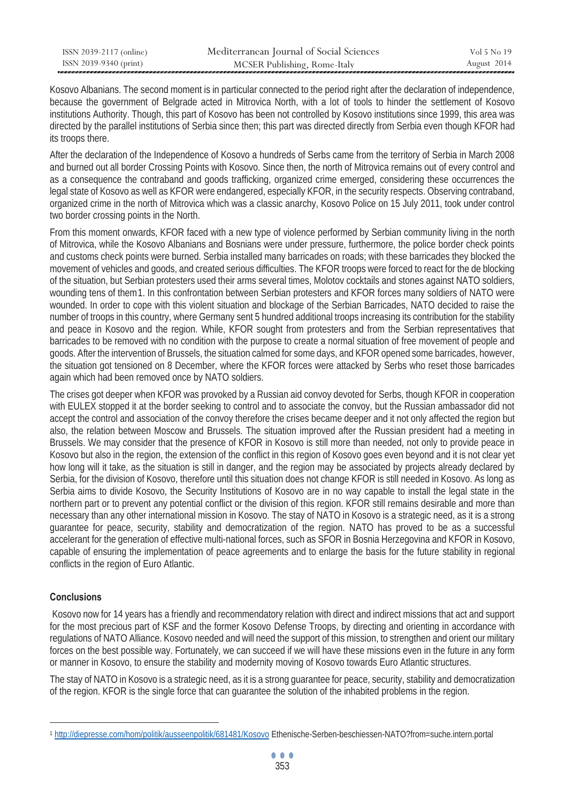| ISSN 2039-2117 (online) | Mediterranean Journal of Social Sciences | Vol 5 No 19 |
|-------------------------|------------------------------------------|-------------|
| ISSN 2039-9340 (print)  | MCSER Publishing, Rome-Italy             | August 2014 |

Kosovo Albanians. The second moment is in particular connected to the period right after the declaration of independence, because the government of Belgrade acted in Mitrovica North, with a lot of tools to hinder the settlement of Kosovo institutions Authority. Though, this part of Kosovo has been not controlled by Kosovo institutions since 1999, this area was directed by the parallel institutions of Serbia since then; this part was directed directly from Serbia even though KFOR had its troops there.

After the declaration of the Independence of Kosovo a hundreds of Serbs came from the territory of Serbia in March 2008 and burned out all border Crossing Points with Kosovo. Since then, the north of Mitrovica remains out of every control and as a consequence the contraband and goods trafficking, organized crime emerged, considering these occurrences the legal state of Kosovo as well as KFOR were endangered, especially KFOR, in the security respects. Observing contraband, organized crime in the north of Mitrovica which was a classic anarchy, Kosovo Police on 15 July 2011, took under control two border crossing points in the North.

From this moment onwards, KFOR faced with a new type of violence performed by Serbian community living in the north of Mitrovica, while the Kosovo Albanians and Bosnians were under pressure, furthermore, the police border check points and customs check points were burned. Serbia installed many barricades on roads; with these barricades they blocked the movement of vehicles and goods, and created serious difficulties. The KFOR troops were forced to react for the de blocking of the situation, but Serbian protesters used their arms several times, Molotov cocktails and stones against NATO soldiers, wounding tens of them1. In this confrontation between Serbian protesters and KFOR forces many soldiers of NATO were wounded. In order to cope with this violent situation and blockage of the Serbian Barricades, NATO decided to raise the number of troops in this country, where Germany sent 5 hundred additional troops increasing its contribution for the stability and peace in Kosovo and the region. While, KFOR sought from protesters and from the Serbian representatives that barricades to be removed with no condition with the purpose to create a normal situation of free movement of people and goods. After the intervention of Brussels, the situation calmed for some days, and KFOR opened some barricades, however, the situation got tensioned on 8 December, where the KFOR forces were attacked by Serbs who reset those barricades again which had been removed once by NATO soldiers.

The crises got deeper when KFOR was provoked by a Russian aid convoy devoted for Serbs, though KFOR in cooperation with EULEX stopped it at the border seeking to control and to associate the convoy, but the Russian ambassador did not accept the control and association of the convoy therefore the crises became deeper and it not only affected the region but also, the relation between Moscow and Brussels. The situation improved after the Russian president had a meeting in Brussels. We may consider that the presence of KFOR in Kosovo is still more than needed, not only to provide peace in Kosovo but also in the region, the extension of the conflict in this region of Kosovo goes even beyond and it is not clear yet how long will it take, as the situation is still in danger, and the region may be associated by projects already declared by Serbia, for the division of Kosovo, therefore until this situation does not change KFOR is still needed in Kosovo. As long as Serbia aims to divide Kosovo, the Security Institutions of Kosovo are in no way capable to install the legal state in the northern part or to prevent any potential conflict or the division of this region. KFOR still remains desirable and more than necessary than any other international mission in Kosovo. The stay of NATO in Kosovo is a strategic need, as it is a strong guarantee for peace, security, stability and democratization of the region. NATO has proved to be as a successful accelerant for the generation of effective multi-national forces, such as SFOR in Bosnia Herzegovina and KFOR in Kosovo, capable of ensuring the implementation of peace agreements and to enlarge the basis for the future stability in regional conflicts in the region of Euro Atlantic.

## **Conclusions**

 $\overline{a}$ 

 Kosovo now for 14 years has a friendly and recommendatory relation with direct and indirect missions that act and support for the most precious part of KSF and the former Kosovo Defense Troops, by directing and orienting in accordance with regulations of NATO Alliance. Kosovo needed and will need the support of this mission, to strengthen and orient our military forces on the best possible way. Fortunately, we can succeed if we will have these missions even in the future in any form or manner in Kosovo, to ensure the stability and modernity moving of Kosovo towards Euro Atlantic structures.

The stay of NATO in Kosovo is a strategic need, as it is a strong guarantee for peace, security, stability and democratization of the region. KFOR is the single force that can guarantee the solution of the inhabited problems in the region.

<sup>1</sup> http://diepresse.com/hom/politik/ausseenpolitik/681481/Kosovo Ethenische-Serben-beschiessen-NATO?from=suche.intern.portal